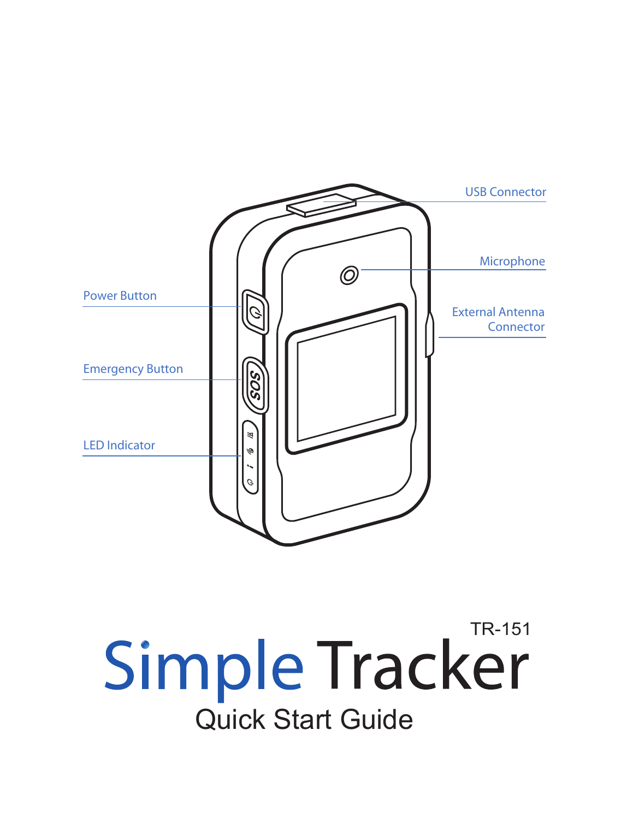

Simple Tracker Quick Start Guide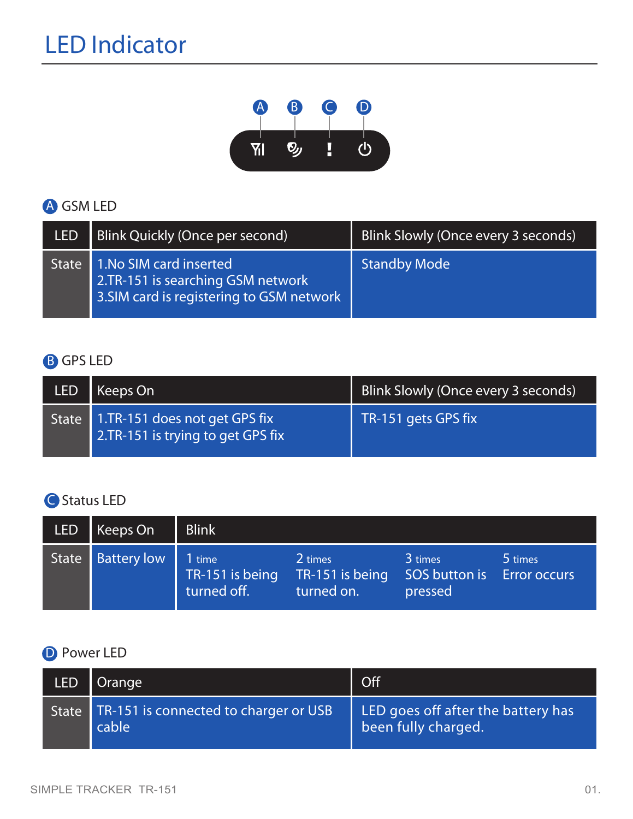# LED Indicator



### GSM LED A

| LED          | Blink Quickly (Once per second)                                                                          | Blink Slowly (Once every 3 seconds) |
|--------------|----------------------------------------------------------------------------------------------------------|-------------------------------------|
| <b>State</b> | 1.No SIM card inserted<br>2.TR-151 is searching GSM network<br>3. SIM card is registering to GSM network | <b>Standby Mode</b>                 |

### **B** GPS LED

| <b>LED</b> | Keeps On                                                                 | Blink Slowly (Once every 3 seconds) |
|------------|--------------------------------------------------------------------------|-------------------------------------|
|            | State 1.TR-151 does not get GPS fix<br>2.TR-151 is trying to get GPS fix | TR-151 gets GPS fix                 |

#### **Status LED**

| <b>LED</b> | Keeps On           | <b>Blink</b>                             |                                          |                                     |                                |
|------------|--------------------|------------------------------------------|------------------------------------------|-------------------------------------|--------------------------------|
| State      | <b>Battery low</b> | 1 time<br>TR-151 is being<br>turned off. | 2 times<br>TR-151 is being<br>turned on. | 3 times<br>SOS button is<br>pressed | 5 times<br><b>Error occurs</b> |

#### **D** Power LED

| <b>LED</b> | Orange                                                 | Off                                                       |
|------------|--------------------------------------------------------|-----------------------------------------------------------|
|            | State   TR-151 is connected to charger or USB<br>cable | LED goes off after the battery has<br>been fully charged. |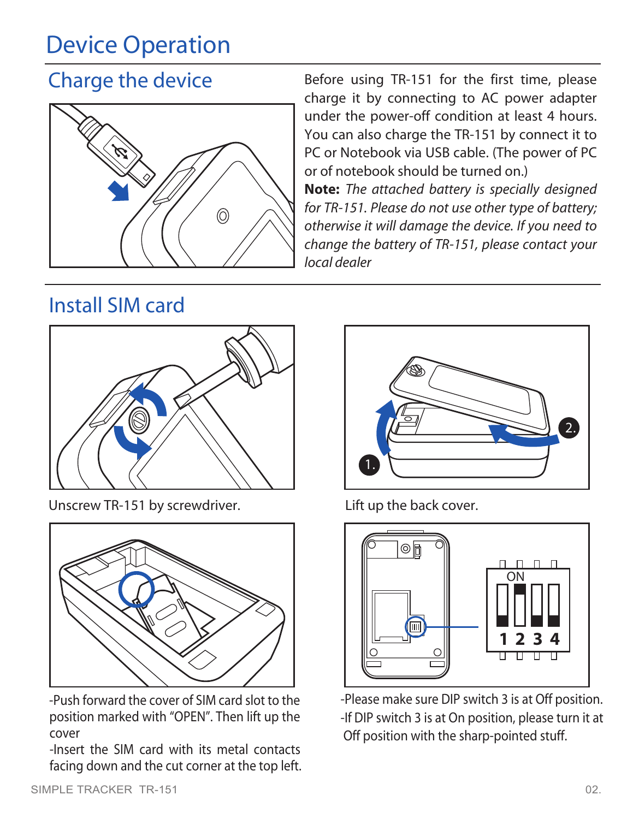# Device Operation

## Charge the device



Before using TR-151 for the first time, please charge it by connecting to AC power adapter under the power-off condition at least 4 hours. You can also charge the TR-151 by connect it to PC or Notebook via USB cable. (The power of PC or of notebook should be turned on.)

**Note:** *The attached battery is specially designed for TR-151. Please do not use other type of battery; otherwise it will damage the device. If you need to change the battery of TR-151, please contact your local dealer*

## Install SIM card



Unscrew TR-151 by screwdriver. Lift up the back cover.



-Push forward the cover of SIM card slot to the position marked with "OPEN". Then lift up the cover

-Insert the SIM card with its metal contacts facing down and the cut corner at the top left.





-Please make sure DIP switch 3 is at Off position. -If DIP switch 3 is at On position, please turn it at Off position with the sharp-pointed stuff.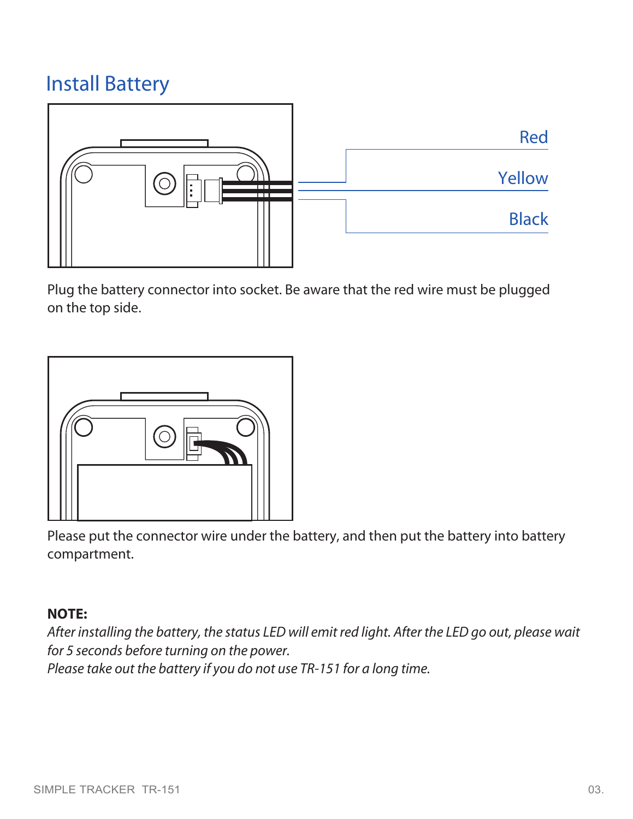## Install Battery



Plug the battery connector into socket. Be aware that the red wire must be plugged on the top side.



Please put the connector wire under the battery, and then put the battery into battery compartment.

#### **NOTE:**

*After installing the battery, the status LED will emit red light. After the LED go out, please wait for 5 seconds before turning on the power.*

*Please take out the battery if you do not use TR-151 for a long time.*